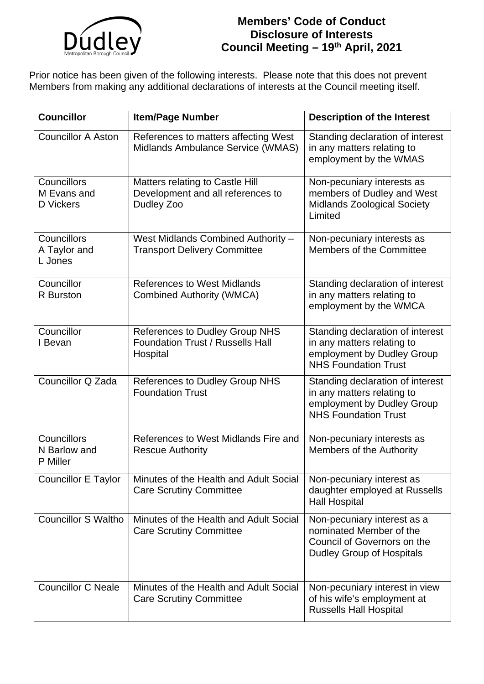

## **Members' Code of Conduct Disclosure of Interests Council Meeting – 19th April, 2021**

Prior notice has been given of the following interests. Please note that this does not prevent Members from making any additional declarations of interests at the Council meeting itself.

| <b>Councillor</b>                              | <b>Item/Page Number</b>                                                                      | <b>Description of the Interest</b>                                                                                          |
|------------------------------------------------|----------------------------------------------------------------------------------------------|-----------------------------------------------------------------------------------------------------------------------------|
| <b>Councillor A Aston</b>                      | References to matters affecting West<br>Midlands Ambulance Service (WMAS)                    | Standing declaration of interest<br>in any matters relating to<br>employment by the WMAS                                    |
| Councillors<br>M Evans and<br><b>D</b> Vickers | <b>Matters relating to Castle Hill</b><br>Development and all references to<br>Dudley Zoo    | Non-pecuniary interests as<br>members of Dudley and West<br><b>Midlands Zoological Society</b><br>Limited                   |
| Councillors<br>A Taylor and<br>L Jones         | West Midlands Combined Authority -<br><b>Transport Delivery Committee</b>                    | Non-pecuniary interests as<br>Members of the Committee                                                                      |
| Councillor<br><b>R</b> Burston                 | <b>References to West Midlands</b><br><b>Combined Authority (WMCA)</b>                       | Standing declaration of interest<br>in any matters relating to<br>employment by the WMCA                                    |
| Councillor<br>I Bevan                          | <b>References to Dudley Group NHS</b><br><b>Foundation Trust / Russells Hall</b><br>Hospital | Standing declaration of interest<br>in any matters relating to<br>employment by Dudley Group<br><b>NHS Foundation Trust</b> |
| Councillor Q Zada                              | <b>References to Dudley Group NHS</b><br><b>Foundation Trust</b>                             | Standing declaration of interest<br>in any matters relating to<br>employment by Dudley Group<br><b>NHS Foundation Trust</b> |
| Councillors<br>N Barlow and<br>P Miller        | References to West Midlands Fire and<br><b>Rescue Authority</b>                              | Non-pecuniary interests as<br>Members of the Authority                                                                      |
| <b>Councillor E Taylor</b>                     | Minutes of the Health and Adult Social<br><b>Care Scrutiny Committee</b>                     | Non-pecuniary interest as<br>daughter employed at Russells<br><b>Hall Hospital</b>                                          |
| <b>Councillor S Waltho</b>                     | Minutes of the Health and Adult Social<br><b>Care Scrutiny Committee</b>                     | Non-pecuniary interest as a<br>nominated Member of the<br>Council of Governors on the<br><b>Dudley Group of Hospitals</b>   |
| <b>Councillor C Neale</b>                      | Minutes of the Health and Adult Social<br><b>Care Scrutiny Committee</b>                     | Non-pecuniary interest in view<br>of his wife's employment at<br><b>Russells Hall Hospital</b>                              |